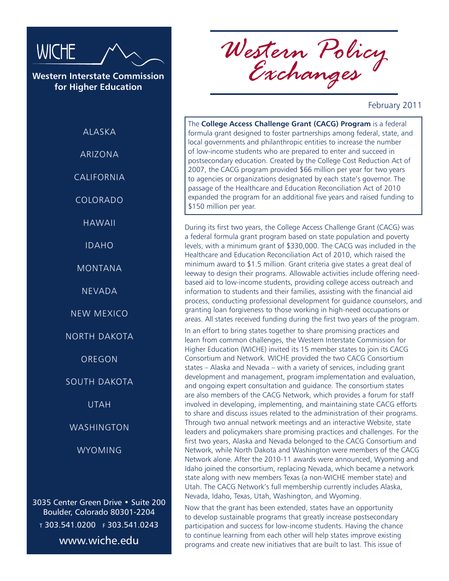

**Western Interstate Commission for Higher Education**

**ALASKA** 

ARIZONA

CALIFORNIA

COLORADO

HAWAII

IDAHO

MONTANA

NEVADA

NEW MEXICO

NORTH DAKOTA

OREGON

SOUTH DAKOTA

UTAH

WASHINGTON

WYOMING

3035 Center Green Drive • Suite 200 Boulder, Colorado 80301-2204 <sup>t</sup> 303.541.0200 f 303.541.0243 www.wiche.edu

*Western Policy Exchanges*

February 2011

The **College Access Challenge Grant (CACG) Program** is a federal formula grant designed to foster partnerships among federal, state, and local governments and philanthropic entities to increase the number of low-income students who are prepared to enter and succeed in postsecondary education. Created by the College Cost Reduction Act of 2007, the CACG program provided \$66 million per year for two years to agencies or organizations designated by each state's governor. The passage of the Healthcare and Education Reconciliation Act of 2010 expanded the program for an additional five years and raised funding to \$150 million per year.

During its first two years, the College Access Challenge Grant (CACG) was a federal formula grant program based on state population and poverty levels, with a minimum grant of \$330,000. The CACG was included in the Healthcare and Education Reconciliation Act of 2010, which raised the minimum award to \$1.5 million. Grant criteria give states a great deal of leeway to design their programs. Allowable activities include offering needbased aid to low-income students, providing college access outreach and information to students and their families, assisting with the financial aid process, conducting professional development for guidance counselors, and granting loan forgiveness to those working in high-need occupations or areas. All states received funding during the first two years of the program.

In an effort to bring states together to share promising practices and learn from common challenges, the Western Interstate Commission for Higher Education (WICHE) invited its 15 member states to join its CACG Consortium and Network. WICHE provided the two CACG Consortium states – Alaska and Nevada – with a variety of services, including grant development and management, program implementation and evaluation, and ongoing expert consultation and guidance. The consortium states are also members of the CACG Network, which provides a forum for staff involved in developing, implementing, and maintaining state CACG efforts to share and discuss issues related to the administration of their programs. Through two annual network meetings and an interactive Website, state leaders and policymakers share promising practices and challenges. For the first two years, Alaska and Nevada belonged to the CACG Consortium and Network, while North Dakota and Washington were members of the CACG Network alone. After the 2010-11 awards were announced, Wyoming and Idaho joined the consortium, replacing Nevada, which became a network state along with new members Texas (a non-WICHE member state) and Utah. The CACG Network's full membership currently includes Alaska, Nevada, Idaho, Texas, Utah, Washington, and Wyoming.

Now that the grant has been extended, states have an opportunity to develop sustainable programs that greatly increase postsecondary participation and success for low-income students. Having the chance to continue learning from each other will help states improve existing programs and create new initiatives that are built to last. This issue of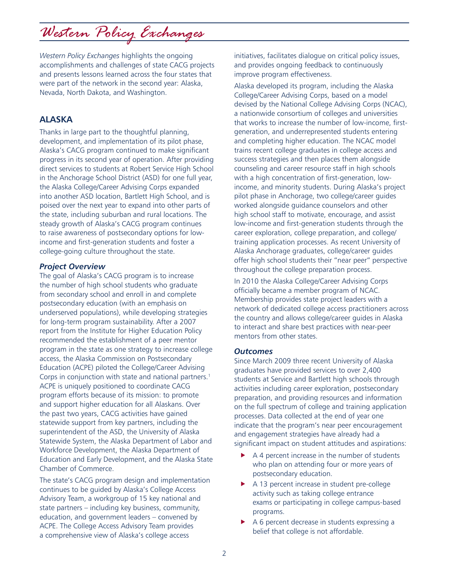*Western Policy Exchanges* highlights the ongoing accomplishments and challenges of state CACG projects and presents lessons learned across the four states that were part of the network in the second year: Alaska, Nevada, North Dakota, and Washington.

### **ALASKA**

Thanks in large part to the thoughtful planning, development, and implementation of its pilot phase, Alaska's CACG program continued to make significant progress in its second year of operation. After providing direct services to students at Robert Service High School in the Anchorage School District (ASD) for one full year, the Alaska College/Career Advising Corps expanded into another ASD location, Bartlett High School, and is poised over the next year to expand into other parts of the state, including suburban and rural locations. The steady growth of Alaska's CACG program continues to raise awareness of postsecondary options for lowincome and first-generation students and foster a college-going culture throughout the state.

### *Project Overview*

The goal of Alaska's CACG program is to increase the number of high school students who graduate from secondary school and enroll in and complete postsecondary education (with an emphasis on underserved populations), while developing strategies for long-term program sustainability. After a 2007 report from the Institute for Higher Education Policy recommended the establishment of a peer mentor program in the state as one strategy to increase college access, the Alaska Commission on Postsecondary Education (ACPE) piloted the College/Career Advising Corps in conjunction with state and national partners.<sup>1</sup> ACPE is uniquely positioned to coordinate CACG program efforts because of its mission: to promote and support higher education for all Alaskans. Over the past two years, CACG activities have gained statewide support from key partners, including the superintendent of the ASD, the University of Alaska Statewide System, the Alaska Department of Labor and Workforce Development, the Alaska Department of Education and Early Development, and the Alaska State Chamber of Commerce.

The state's CACG program design and implementation continues to be guided by Alaska's College Access Advisory Team, a workgroup of 15 key national and state partners – including key business, community, education, and government leaders – convened by ACPE. The College Access Advisory Team provides a comprehensive view of Alaska's college access

initiatives, facilitates dialogue on critical policy issues, and provides ongoing feedback to continuously improve program effectiveness.

Alaska developed its program, including the Alaska College/Career Advising Corps, based on a model devised by the National College Advising Corps (NCAC), a nationwide consortium of colleges and universities that works to increase the number of low-income, firstgeneration, and underrepresented students entering and completing higher education. The NCAC model trains recent college graduates in college access and success strategies and then places them alongside counseling and career resource staff in high schools with a high concentration of first-generation, lowincome, and minority students. During Alaska's project pilot phase in Anchorage, two college/career guides worked alongside guidance counselors and other high school staff to motivate, encourage, and assist low-income and first-generation students through the career exploration, college preparation, and college/ training application processes. As recent University of Alaska Anchorage graduates, college/career guides offer high school students their "near peer" perspective throughout the college preparation process.

In 2010 the Alaska College/Career Advising Corps officially became a member program of NCAC. Membership provides state project leaders with a network of dedicated college access practitioners across the country and allows college/career guides in Alaska to interact and share best practices with near-peer mentors from other states.

### *Outcomes*

Since March 2009 three recent University of Alaska graduates have provided services to over 2,400 students at Service and Bartlett high schools through activities including career exploration, postsecondary preparation, and providing resources and information on the full spectrum of college and training application processes. Data collected at the end of year one indicate that the program's near peer encouragement and engagement strategies have already had a significant impact on student attitudes and aspirations:

- $\triangleright$  A 4 percent increase in the number of students who plan on attending four or more years of postsecondary education.
- $\blacktriangleright$  A 13 percent increase in student pre-college activity such as taking college entrance exams or participating in college campus-based programs.
- $\triangleright$  A 6 percent decrease in students expressing a belief that college is not affordable.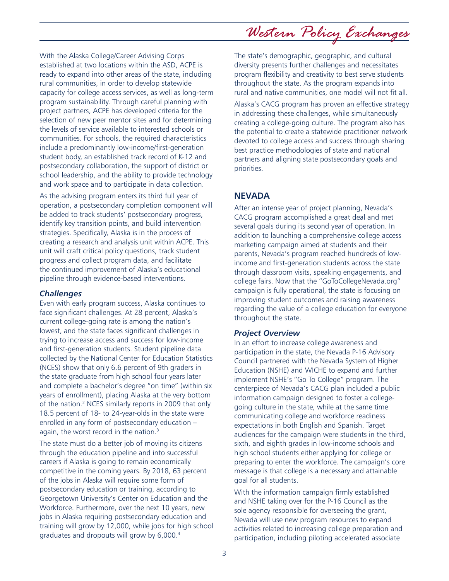With the Alaska College/Career Advising Corps established at two locations within the ASD, ACPE is ready to expand into other areas of the state, including rural communities, in order to develop statewide capacity for college access services, as well as long-term program sustainability. Through careful planning with project partners, ACPE has developed criteria for the selection of new peer mentor sites and for determining the levels of service available to interested schools or communities. For schools, the required characteristics include a predominantly low-income/first-generation student body, an established track record of K-12 and postsecondary collaboration, the support of district or school leadership, and the ability to provide technology and work space and to participate in data collection.

As the advising program enters its third full year of operation, a postsecondary completion component will be added to track students' postsecondary progress, identify key transition points, and build intervention strategies. Specifically, Alaska is in the process of creating a research and analysis unit within ACPE. This unit will craft critical policy questions, track student progress and collect program data, and facilitate the continued improvement of Alaska's educational pipeline through evidence-based interventions.

### *Challenges*

Even with early program success, Alaska continues to face significant challenges. At 28 percent, Alaska's current college-going rate is among the nation's lowest, and the state faces significant challenges in trying to increase access and success for low-income and first-generation students. Student pipeline data collected by the National Center for Education Statistics (NCES) show that only 6.6 percent of 9th graders in the state graduate from high school four years later and complete a bachelor's degree "on time" (within six years of enrollment), placing Alaska at the very bottom of the nation.2 NCES similarly reports in 2009 that only 18.5 percent of 18- to 24-year-olds in the state were enrolled in any form of postsecondary education – again, the worst record in the nation.<sup>3</sup>

The state must do a better job of moving its citizens through the education pipeline and into successful careers if Alaska is going to remain economically competitive in the coming years. By 2018, 63 percent of the jobs in Alaska will require some form of postsecondary education or training, according to Georgetown University's Center on Education and the Workforce. Furthermore, over the next 10 years, new jobs in Alaska requiring postsecondary education and training will grow by 12,000, while jobs for high school graduates and dropouts will grow by 6,000.4

The state's demographic, geographic, and cultural diversity presents further challenges and necessitates program flexibility and creativity to best serve students throughout the state. As the program expands into rural and native communities, one model will not fit all.

Alaska's CACG program has proven an effective strategy in addressing these challenges, while simultaneously creating a college-going culture. The program also has the potential to create a statewide practitioner network devoted to college access and success through sharing best practice methodologies of state and national partners and aligning state postsecondary goals and priorities.

### **NEVADA**

After an intense year of project planning, Nevada's CACG program accomplished a great deal and met several goals during its second year of operation. In addition to launching a comprehensive college access marketing campaign aimed at students and their parents, Nevada's program reached hundreds of lowincome and first-generation students across the state through classroom visits, speaking engagements, and college fairs. Now that the "GoToCollegeNevada.org" campaign is fully operational, the state is focusing on improving student outcomes and raising awareness regarding the value of a college education for everyone throughout the state.

### *Project Overview*

In an effort to increase college awareness and participation in the state, the Nevada P-16 Advisory Council partnered with the Nevada System of Higher Education (NSHE) and WICHE to expand and further implement NSHE's "Go To College" program. The centerpiece of Nevada's CACG plan included a public information campaign designed to foster a collegegoing culture in the state, while at the same time communicating college and workforce readiness expectations in both English and Spanish. Target audiences for the campaign were students in the third, sixth, and eighth grades in low-income schools and high school students either applying for college or preparing to enter the workforce. The campaign's core message is that college is a necessary and attainable goal for all students.

With the information campaign firmly established and NSHE taking over for the P-16 Council as the sole agency responsible for overseeing the grant, Nevada will use new program resources to expand activities related to increasing college preparation and participation, including piloting accelerated associate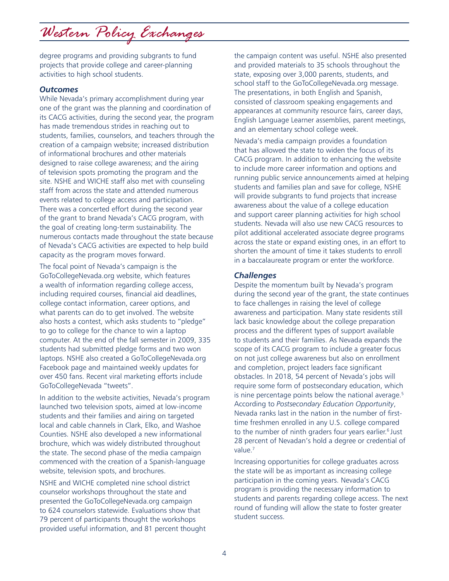degree programs and providing subgrants to fund projects that provide college and career-planning activities to high school students.

### *Outcomes*

While Nevada's primary accomplishment during year one of the grant was the planning and coordination of its CACG activities, during the second year, the program has made tremendous strides in reaching out to students, families, counselors, and teachers through the creation of a campaign website; increased distribution of informational brochures and other materials designed to raise college awareness; and the airing of television spots promoting the program and the site. NSHE and WICHE staff also met with counseling staff from across the state and attended numerous events related to college access and participation. There was a concerted effort during the second year of the grant to brand Nevada's CACG program, with the goal of creating long-term sustainability. The numerous contacts made throughout the state because of Nevada's CACG activities are expected to help build capacity as the program moves forward.

The focal point of Nevada's campaign is the GoToCollegeNevada.org website, which features a wealth of information regarding college access, including required courses, financial aid deadlines, college contact information, career options, and what parents can do to get involved. The website also hosts a contest, which asks students to "pledge" to go to college for the chance to win a laptop computer. At the end of the fall semester in 2009, 335 students had submitted pledge forms and two won laptops. NSHE also created a GoToCollegeNevada.org Facebook page and maintained weekly updates for over 450 fans. Recent viral marketing efforts include GoToCollegeNevada "tweets".

In addition to the website activities, Nevada's program launched two television spots, aimed at low-income students and their families and airing on targeted local and cable channels in Clark, Elko, and Washoe Counties. NSHE also developed a new informational brochure, which was widely distributed throughout the state. The second phase of the media campaign commenced with the creation of a Spanish-language website, television spots, and brochures.

NSHE and WICHE completed nine school district counselor workshops throughout the state and presented the GoToCollegeNevada.org campaign to 624 counselors statewide. Evaluations show that 79 percent of participants thought the workshops provided useful information, and 81 percent thought

the campaign content was useful. NSHE also presented and provided materials to 35 schools throughout the state, exposing over 3,000 parents, students, and school staff to the GoToCollegeNevada.org message. The presentations, in both English and Spanish, consisted of classroom speaking engagements and appearances at community resource fairs, career days, English Language Learner assemblies, parent meetings, and an elementary school college week.

Nevada's media campaign provides a foundation that has allowed the state to widen the focus of its CACG program. In addition to enhancing the website to include more career information and options and running public service announcements aimed at helping students and families plan and save for college, NSHE will provide subgrants to fund projects that increase awareness about the value of a college education and support career planning activities for high school students. Nevada will also use new CACG resources to pilot additional accelerated associate degree programs across the state or expand existing ones, in an effort to shorten the amount of time it takes students to enroll in a baccalaureate program or enter the workforce.

#### *Challenges*

Despite the momentum built by Nevada's program during the second year of the grant, the state continues to face challenges in raising the level of college awareness and participation. Many state residents still lack basic knowledge about the college preparation process and the different types of support available to students and their families. As Nevada expands the scope of its CACG program to include a greater focus on not just college awareness but also on enrollment and completion, project leaders face significant obstacles. In 2018, 54 percent of Nevada's jobs will require some form of postsecondary education, which is nine percentage points below the national average.<sup>5</sup> According to *Postsecondary Education Opportunity*, Nevada ranks last in the nation in the number of firsttime freshmen enrolled in any U.S. college compared to the number of ninth graders four years earlier.<sup>6</sup> Just 28 percent of Nevadan's hold a degree or credential of value.7

Increasing opportunities for college graduates across the state will be as important as increasing college participation in the coming years. Nevada's CACG program is providing the necessary information to students and parents regarding college access. The next round of funding will allow the state to foster greater student success.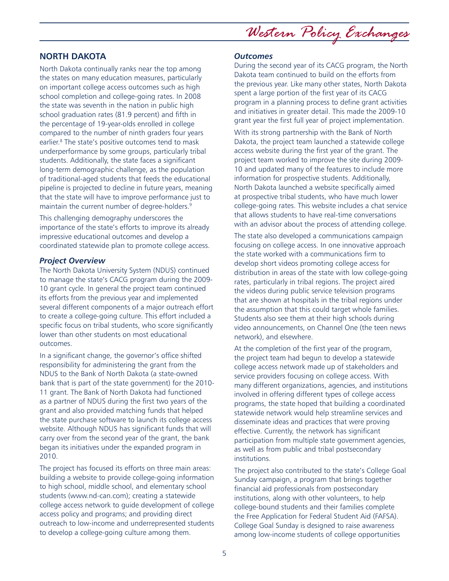**NORTH DAKOTA**

North Dakota continually ranks near the top among the states on many education measures, particularly on important college access outcomes such as high school completion and college-going rates. In 2008 the state was seventh in the nation in public high school graduation rates (81.9 percent) and fifth in the percentage of 19-year-olds enrolled in college compared to the number of ninth graders four years earlier.<sup>8</sup> The state's positive outcomes tend to mask underperformance by some groups, particularly tribal students. Additionally, the state faces a significant long-term demographic challenge, as the population of traditional-aged students that feeds the educational pipeline is projected to decline in future years, meaning that the state will have to improve performance just to maintain the current number of degree-holders.<sup>9</sup>

This challenging demography underscores the importance of the state's efforts to improve its already impressive educational outcomes and develop a coordinated statewide plan to promote college access.

### *Project Overview*

The North Dakota University System (NDUS) continued to manage the state's CACG program during the 2009- 10 grant cycle. In general the project team continued its efforts from the previous year and implemented several different components of a major outreach effort to create a college-going culture. This effort included a specific focus on tribal students, who score significantly lower than other students on most educational outcomes.

In a significant change, the governor's office shifted responsibility for administering the grant from the NDUS to the Bank of North Dakota (a state-owned bank that is part of the state government) for the 2010- 11 grant. The Bank of North Dakota had functioned as a partner of NDUS during the first two years of the grant and also provided matching funds that helped the state purchase software to launch its college access website. Although NDUS has significant funds that will carry over from the second year of the grant, the bank began its initiatives under the expanded program in 2010.

The project has focused its efforts on three main areas: building a website to provide college-going information to high school, middle school, and elementary school students (www.nd-can.com); creating a statewide college access network to guide development of college access policy and programs; and providing direct outreach to low-income and underrepresented students to develop a college-going culture among them.

## *Western Policy Exchanges*

#### *Outcomes*

During the second year of its CACG program, the North Dakota team continued to build on the efforts from the previous year. Like many other states, North Dakota spent a large portion of the first year of its CACG program in a planning process to define grant activities and initiatives in greater detail. This made the 2009-10 grant year the first full year of project implementation.

With its strong partnership with the Bank of North Dakota, the project team launched a statewide college access website during the first year of the grant. The project team worked to improve the site during 2009- 10 and updated many of the features to include more information for prospective students. Additionally, North Dakota launched a website specifically aimed at prospective tribal students, who have much lower college-going rates. This website includes a chat service that allows students to have real-time conversations with an advisor about the process of attending college.

The state also developed a communications campaign focusing on college access. In one innovative approach the state worked with a communications firm to develop short videos promoting college access for distribution in areas of the state with low college-going rates, particularly in tribal regions. The project aired the videos during public service television programs that are shown at hospitals in the tribal regions under the assumption that this could target whole families. Students also see them at their high schools during video announcements, on Channel One (the teen news network), and elsewhere.

At the completion of the first year of the program, the project team had begun to develop a statewide college access network made up of stakeholders and service providers focusing on college access. With many different organizations, agencies, and institutions involved in offering different types of college access programs, the state hoped that building a coordinated statewide network would help streamline services and disseminate ideas and practices that were proving effective. Currently, the network has significant participation from multiple state government agencies, as well as from public and tribal postsecondary institutions.

The project also contributed to the state's College Goal Sunday campaign, a program that brings together financial aid professionals from postsecondary institutions, along with other volunteers, to help college-bound students and their families complete the Free Application for Federal Student Aid (FAFSA). College Goal Sunday is designed to raise awareness among low-income students of college opportunities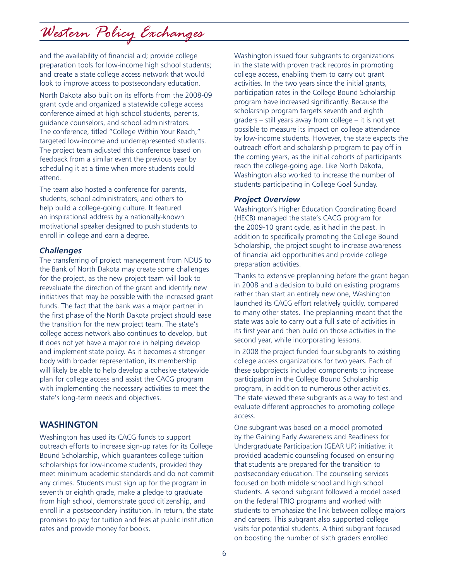and the availability of financial aid; provide college preparation tools for low-income high school students; and create a state college access network that would look to improve access to postsecondary education.

North Dakota also built on its efforts from the 2008-09 grant cycle and organized a statewide college access conference aimed at high school students, parents, guidance counselors, and school administrators. The conference, titled "College Within Your Reach," targeted low-income and underrepresented students. The project team adjusted this conference based on feedback from a similar event the previous year by scheduling it at a time when more students could attend.

The team also hosted a conference for parents, students, school administrators, and others to help build a college-going culture. It featured an inspirational address by a nationally-known motivational speaker designed to push students to enroll in college and earn a degree.

### *Challenges*

The transferring of project management from NDUS to the Bank of North Dakota may create some challenges for the project, as the new project team will look to reevaluate the direction of the grant and identify new initiatives that may be possible with the increased grant funds. The fact that the bank was a major partner in the first phase of the North Dakota project should ease the transition for the new project team. The state's college access network also continues to develop, but it does not yet have a major role in helping develop and implement state policy. As it becomes a stronger body with broader representation, its membership will likely be able to help develop a cohesive statewide plan for college access and assist the CACG program with implementing the necessary activities to meet the state's long-term needs and objectives.

### **WASHINGTON**

Washington has used its CACG funds to support outreach efforts to increase sign-up rates for its College Bound Scholarship, which guarantees college tuition scholarships for low-income students, provided they meet minimum academic standards and do not commit any crimes. Students must sign up for the program in seventh or eighth grade, make a pledge to graduate from high school, demonstrate good citizenship, and enroll in a postsecondary institution. In return, the state promises to pay for tuition and fees at public institution rates and provide money for books.

Washington issued four subgrants to organizations in the state with proven track records in promoting college access, enabling them to carry out grant activities. In the two years since the initial grants, participation rates in the College Bound Scholarship program have increased significantly. Because the scholarship program targets seventh and eighth graders – still years away from college – it is not yet possible to measure its impact on college attendance by low-income students. However, the state expects the outreach effort and scholarship program to pay off in the coming years, as the initial cohorts of participants reach the college-going age. Like North Dakota, Washington also worked to increase the number of students participating in College Goal Sunday.

### *Project Overview*

Washington's Higher Education Coordinating Board (HECB) managed the state's CACG program for the 2009-10 grant cycle, as it had in the past. In addition to specifically promoting the College Bound Scholarship, the project sought to increase awareness of financial aid opportunities and provide college preparation activities.

Thanks to extensive preplanning before the grant began in 2008 and a decision to build on existing programs rather than start an entirely new one, Washington launched its CACG effort relatively quickly, compared to many other states. The preplanning meant that the state was able to carry out a full slate of activities in its first year and then build on those activities in the second year, while incorporating lessons.

In 2008 the project funded four subgrants to existing college access organizations for two years. Each of these subprojects included components to increase participation in the College Bound Scholarship program, in addition to numerous other activities. The state viewed these subgrants as a way to test and evaluate different approaches to promoting college access.

One subgrant was based on a model promoted by the Gaining Early Awareness and Readiness for Undergraduate Participation (GEAR UP) initiative: it provided academic counseling focused on ensuring that students are prepared for the transition to postsecondary education. The counseling services focused on both middle school and high school students. A second subgrant followed a model based on the federal TRIO programs and worked with students to emphasize the link between college majors and careers. This subgrant also supported college visits for potential students. A third subgrant focused on boosting the number of sixth graders enrolled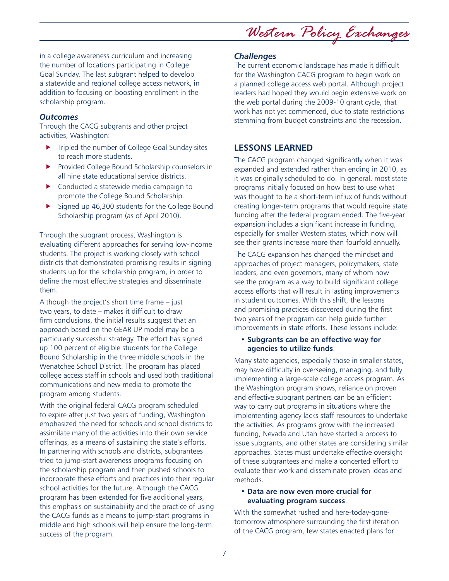*Western Policy Exchanges*

in a college awareness curriculum and increasing the number of locations participating in College Goal Sunday. The last subgrant helped to develop a statewide and regional college access network, in addition to focusing on boosting enrollment in the scholarship program.

### *Outcomes*

Through the CACG subgrants and other project activities, Washington:

- $\blacktriangleright$  Tripled the number of College Goal Sunday sites to reach more students.
- $\blacktriangleright$  Provided College Bound Scholarship counselors in all nine state educational service districts.
- Conducted a statewide media campaign to promote the College Bound Scholarship.
- $\blacktriangleright$  Signed up 46,300 students for the College Bound Scholarship program (as of April 2010).

Through the subgrant process, Washington is evaluating different approaches for serving low-income students. The project is working closely with school districts that demonstrated promising results in signing students up for the scholarship program, in order to define the most effective strategies and disseminate them.

Although the project's short time frame – just two years, to date – makes it difficult to draw firm conclusions, the initial results suggest that an approach based on the GEAR UP model may be a particularly successful strategy. The effort has signed up 100 percent of eligible students for the College Bound Scholarship in the three middle schools in the Wenatchee School District. The program has placed college access staff in schools and used both traditional communications and new media to promote the program among students.

With the original federal CACG program scheduled to expire after just two years of funding, Washington emphasized the need for schools and school districts to assimilate many of the activities into their own service offerings, as a means of sustaining the state's efforts. In partnering with schools and districts, subgrantees tried to jump-start awareness programs focusing on the scholarship program and then pushed schools to incorporate these efforts and practices into their regular school activities for the future. Although the CACG program has been extended for five additional years, this emphasis on sustainability and the practice of using the CACG funds as a means to jump-start programs in middle and high schools will help ensure the long-term success of the program.

### *Challenges*

The current economic landscape has made it difficult for the Washington CACG program to begin work on a planned college access web portal. Although project leaders had hoped they would begin extensive work on the web portal during the 2009-10 grant cycle, that work has not yet commenced, due to state restrictions stemming from budget constraints and the recession.

### **LESSONS LEARNED**

The CACG program changed significantly when it was expanded and extended rather than ending in 2010, as it was originally scheduled to do. In general, most state programs initially focused on how best to use what was thought to be a short-term influx of funds without creating longer-term programs that would require state funding after the federal program ended. The five-year expansion includes a significant increase in funding, especially for smaller Western states, which now will see their grants increase more than fourfold annually.

The CACG expansion has changed the mindset and approaches of project managers, policymakers, state leaders, and even governors, many of whom now see the program as a way to build significant college access efforts that will result in lasting improvements in student outcomes. With this shift, the lessons and promising practices discovered during the first two years of the program can help guide further improvements in state efforts. These lessons include:

#### • **Subgrants can be an effective way for agencies to utilize funds**.

Many state agencies, especially those in smaller states, may have difficulty in overseeing, managing, and fully implementing a large-scale college access program. As the Washington program shows, reliance on proven and effective subgrant partners can be an efficient way to carry out programs in situations where the implementing agency lacks staff resources to undertake the activities. As programs grow with the increased funding, Nevada and Utah have started a process to issue subgrants, and other states are considering similar approaches. States must undertake effective oversight of these subgrantees and make a concerted effort to evaluate their work and disseminate proven ideas and methods.

### • **Data are now even more crucial for evaluating program success**.

With the somewhat rushed and here-today-gonetomorrow atmosphere surrounding the first iteration of the CACG program, few states enacted plans for